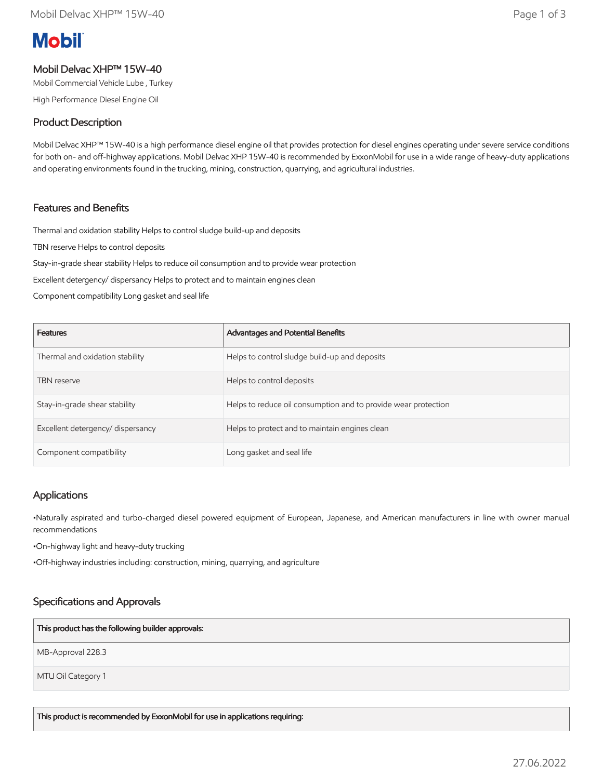# **Mobil**

## Mobil Delvac XHP™ 15W-40

Mobil Commercial Vehicle Lube , Turkey

High Performance Diesel Engine Oil

## Product Description

Mobil Delvac XHP™ 15W-40 is a high performance diesel engine oil that provides protection for diesel engines operating under severe service conditions for both on- and off-highway applications. Mobil Delvac XHP 15W-40 is recommended by ExxonMobil for use in a wide range of heavy-duty applications and operating environments found in the trucking, mining, construction, quarrying, and agricultural industries.

## Features and Benefits

Thermal and oxidation stability Helps to control sludge build-up and deposits

TBN reserve Helps to control deposits

Stay-in-grade shear stability Helps to reduce oil consumption and to provide wear protection

Excellent detergency/ dispersancy Helps to protect and to maintain engines clean

Component compatibility Long gasket and seal life

| <b>Features</b>                   | Advantages and Potential Benefits                              |
|-----------------------------------|----------------------------------------------------------------|
| Thermal and oxidation stability   | Helps to control sludge build-up and deposits                  |
| <b>TBN</b> reserve                | Helps to control deposits                                      |
| Stay-in-grade shear stability     | Helps to reduce oil consumption and to provide wear protection |
| Excellent detergency/ dispersancy | Helps to protect and to maintain engines clean                 |
| Component compatibility           | Long gasket and seal life                                      |

## **Applications**

•Naturally aspirated and turbo-charged diesel powered equipment of European, Japanese, and American manufacturers in line with owner manual recommendations

•On-highway light and heavy-duty trucking

•Off-highway industries including: construction, mining, quarrying, and agriculture

# Specifications and Approvals

#### This product has the following builder approvals:

MB-Approval 228.3

MTU Oil Category 1

This product is recommended by ExxonMobil for use in applications requiring: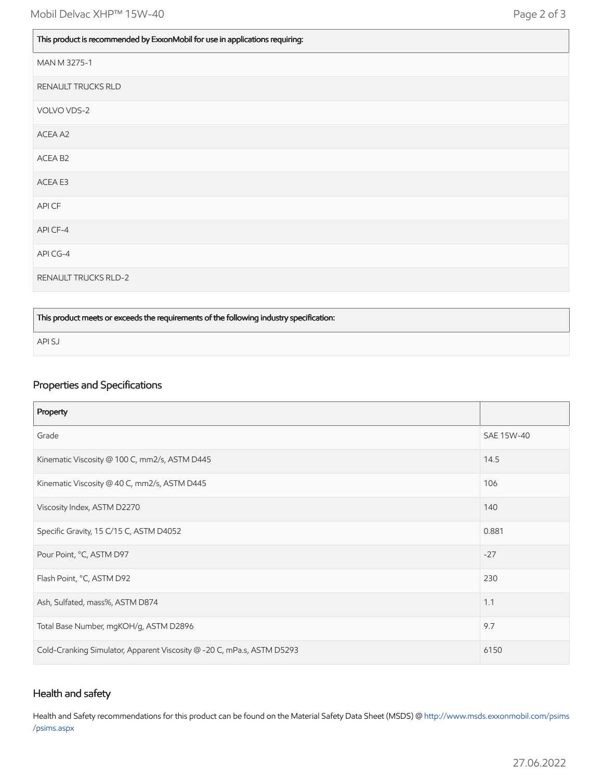| This product is recommended by ExxonMobil for use in applications requiring: |  |
|------------------------------------------------------------------------------|--|
|                                                                              |  |

| MAN M 3275-1                |
|-----------------------------|
| RENAULT TRUCKS RLD          |
| VOLVO VDS-2                 |
| ACEA A2                     |
| ACEA B2                     |
| ACEA E3                     |
| API CF                      |
| API CF-4                    |
| API CG-4                    |
| <b>RENAULT TRUCKS RLD-2</b> |

#### This product meets or exceeds the requirements of the following industry specification:

API SJ

## Properties and Specifications

| Property                                                               |            |
|------------------------------------------------------------------------|------------|
| Grade                                                                  | SAE 15W-40 |
| Kinematic Viscosity @ 100 C, mm2/s, ASTM D445                          | 14.5       |
| Kinematic Viscosity @ 40 C, mm2/s, ASTM D445                           | 106        |
| Viscosity Index, ASTM D2270                                            | 140        |
| Specific Gravity, 15 C/15 C, ASTM D4052                                | 0.881      |
| Pour Point, °C, ASTM D97                                               | $-27$      |
| Flash Point, °C, ASTM D92                                              | 230        |
| Ash, Sulfated, mass%, ASTM D874                                        | 1.1        |
| Total Base Number, mgKOH/g, ASTM D2896                                 | 9.7        |
| Cold-Cranking Simulator, Apparent Viscosity @ -20 C, mPa.s, ASTM D5293 | 6150       |

### Health and safety

Health and Safety recommendations for this product can be found on the Material Safety Data Sheet (MSDS) @ [http://www.msds.exxonmobil.com/psims](http://www.msds.exxonmobil.com/psims/psims.aspx) /psims.aspx